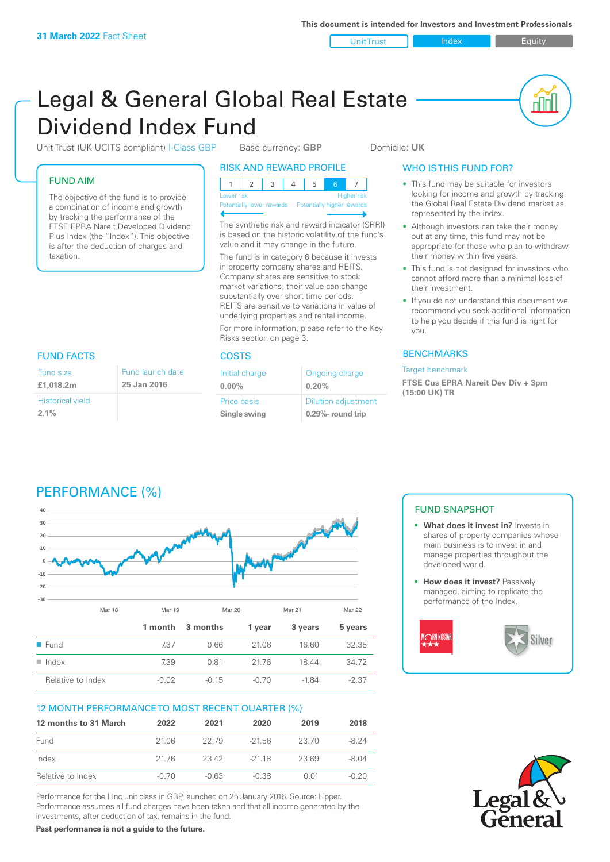Unit Trust Index I Equity

nN

# Legal & General Global Real Estate Dividend Index Fund

Unit Trust (UK UCITS compliant) I-Class GBP Base currency: **GBP** Domicile: UK

### FUND AIM

Fund size **£1,018.2m**

**2.1%**

Historical yield

The objective of the fund is to provide a combination of income and growth by tracking the performance of the FTSE EPRA Nareit Developed Dividend Plus Index (the "Index"). This objective is after the deduction of charges and taxation.

> Fund launch date **25 Jan 2016**

### RISK AND REWARD PROFILE

| Lower risk |  |  | <b>Higher</b> risk |
|------------|--|--|--------------------|

**htially lower rewards** 

The synthetic risk and reward indicator (SRRI) is based on the historic volatility of the fund's value and it may change in the future. The fund is in category 6 because it invests in property company shares and REITS. Company shares are sensitive to stock market variations; their value can change

substantially over short time periods. REITS are sensitive to variations in value of underlying properties and rental income. For more information, please refer to the Key

Risks section on page 3.

### FUND FACTS COSTS

| Initial charge | Ongoing charge             |
|----------------|----------------------------|
| $0.00\%$       | 0.20%                      |
| Price basis    | <b>Dilution adjustment</b> |
| Single swing   | 0.29%- round trip          |

### WHO IS THIS FUND FOR?

- This fund may be suitable for investors looking for income and growth by tracking the Global Real Estate Dividend market as represented by the index.
- Although investors can take their money out at any time, this fund may not be appropriate for those who plan to withdraw their money within five years.
- This fund is not designed for investors who cannot afford more than a minimal loss of their investment.
- If you do not understand this document we recommend you seek additional information to help you decide if this fund is right for you.

### **BENCHMARKS**

Target benchmark

**FTSE Cus EPRA Nareit Dev Div + 3pm (15:00 UK) TR**



### 12 MONTH PERFORMANCE TO MOST RECENT QUARTER (%)

| 12 months to 31 March | 2022    | 2021    | 2020    | 2019  | 2018    |
|-----------------------|---------|---------|---------|-------|---------|
| Fund                  | 2106    | 22.79   | -21.56  | 23.70 | $-8.24$ |
| Index                 | 2176    | 23.42   | $-2118$ | 23.69 | -8.04   |
| Relative to Index     | $-0.70$ | $-0.63$ | $-0.38$ | O 01  | $-0.20$ |

Performance for the I Inc unit class in GBP, launched on 25 January 2016. Source: Lipper. Performance assumes all fund charges have been taken and that all income generated by the investments, after deduction of tax, remains in the fund.

**Past performance is not a guide to the future.**

### FUND SNAPSHOT

- **• What does it invest in?** Invests in shares of property companies whose main business is to invest in and manage properties throughout the developed world.
- **• How does it invest?** Passively managed, aiming to replicate the performance of the Index.



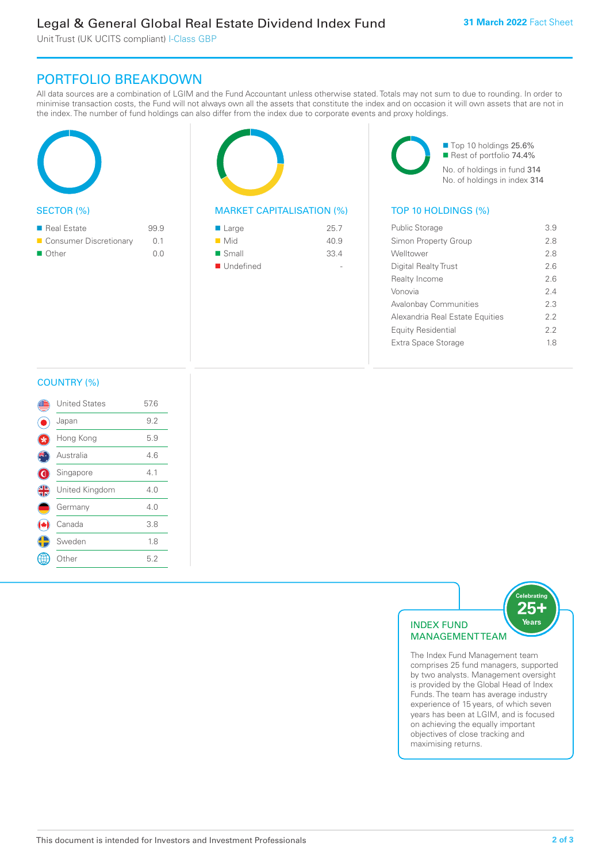Unit Trust (UK UCITS compliant) I-Class GBP

# PORTFOLIO BREAKDOWN

All data sources are a combination of LGIM and the Fund Accountant unless otherwise stated. Totals may not sum to due to rounding. In order to minimise transaction costs, the Fund will not always own all the assets that constitute the index and on occasion it will own assets that are not in the index. The number of fund holdings can also differ from the index due to corporate events and proxy holdings.

| <b>SECTOR (%)</b> |  |
|-------------------|--|

| ■ Real Estate            | 99.9 |
|--------------------------|------|
| ■ Consumer Discretionary | 0.1  |
| ■ Other                  | n n  |



### MARKET CAPITALISATION (%) TOP 10 HOLDINGS (%)

| ■ Large            | 25.7 |
|--------------------|------|
| $\blacksquare$ Mid | 40.9 |
| ■ Small            | 33.4 |
| ■ Undefined        |      |

■ Top 10 holdings 25.6% Rest of portfolio 74.4% No. of holdings in fund 314 No. of holdings in index 314

| <b>Public Storage</b>           | 3.9 |
|---------------------------------|-----|
| Simon Property Group            | 2.8 |
| Welltower                       | 2.8 |
| Digital Realty Trust            | 26  |
| Realty Income                   | 2.6 |
| Vonovia                         | 24  |
| <b>Avalonbay Communities</b>    | 2.3 |
| Alexandria Real Estate Equities | 22  |
| <b>Equity Residential</b>       | 22  |
| Extra Space Storage             | 18  |
|                                 |     |

### COUNTRY (%)

|           | <b>United States</b> | 57.6 |  |
|-----------|----------------------|------|--|
|           | Japan                | 9.2  |  |
|           | Hong Kong            | 5.9  |  |
|           | Australia            | 4.6  |  |
| ۱         | Singapore            | 4.1  |  |
| <b>43</b> | United Kingdom       | 4.0  |  |
|           | Germany              | 4.0  |  |
|           | Canada               | 3.8  |  |
|           | Sweden               | 1.8  |  |
|           | : Other              | 5.2  |  |
|           |                      |      |  |



The Index Fund Management team comprises 25 fund managers, supported by two analysts. Management oversight is provided by the Global Head of Index Funds. The team has average industry experience of 15 years, of which seven years has been at LGIM, and is focused on achieving the equally important objectives of close tracking and maximising returns.